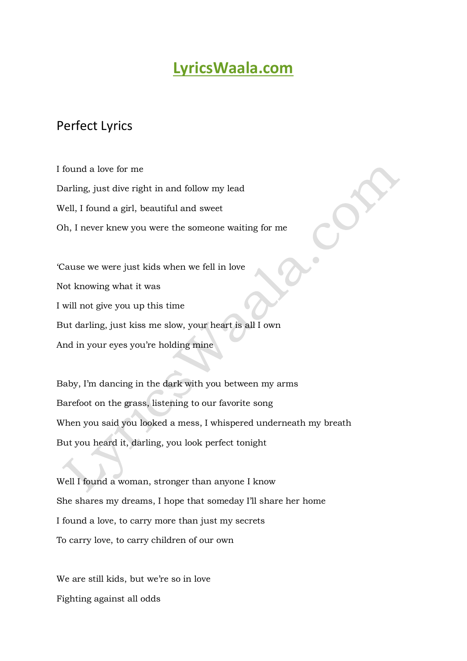## **[LyricsWaala.com](https://www.lyricswaala.com/)**

## Perfect Lyrics

I found a love for me Darling, just dive right in and follow my lead Well, I found a girl, beautiful and sweet Oh, I never knew you were the someone waiting for me

'Cause we were just kids when we fell in love Not knowing what it was I will not give you up this time But darling, just kiss me slow, your heart is all I own And in your eyes you're holding mine

Baby, I'm dancing in the dark with you between my arms Barefoot on the grass, listening to our favorite song When you said you looked a mess, I whispered underneath my breath But you heard it, darling, you look perfect tonight

Well I found a woman, stronger than anyone I know She shares my dreams, I hope that someday I'll share her home I found a love, to carry more than just my secrets To carry love, to carry children of our own

We are still kids, but we're so in love Fighting against all odds